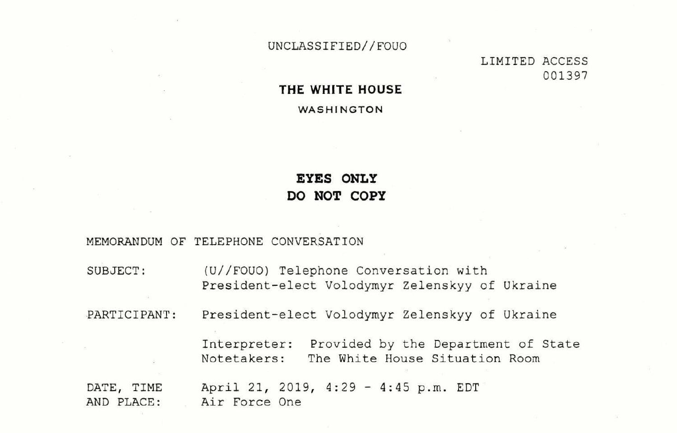UNCLASSIFIED//FOUO

### **THE WHITE HOUSE**

**WA SH INGTON** 

# **EYES ONLY DO NOT COPY**

MEMORANDUM OF TELEPHONE CONVERSATION

 $\mathcal{N}$ 

# LIMITED ACCESS 001397

f Ukraine

of Ukraine

nent of State on Room

| SUBJECT:                 | (U//FOUO) Telephone Conversation with<br>President-elect Volodymyr Zelenskyy of     |
|--------------------------|-------------------------------------------------------------------------------------|
| PARTICIPANT:             | President-elect Volodymyr Zelenskyy of                                              |
|                          | Provided by the Departme<br>Interpreter:<br>The White House Situatio<br>Notetakers: |
| DATE, TIME<br>AND PLACE: | April 21, 2019, 4:29 - 4:45 p.m. EDT<br>Air Force One                               |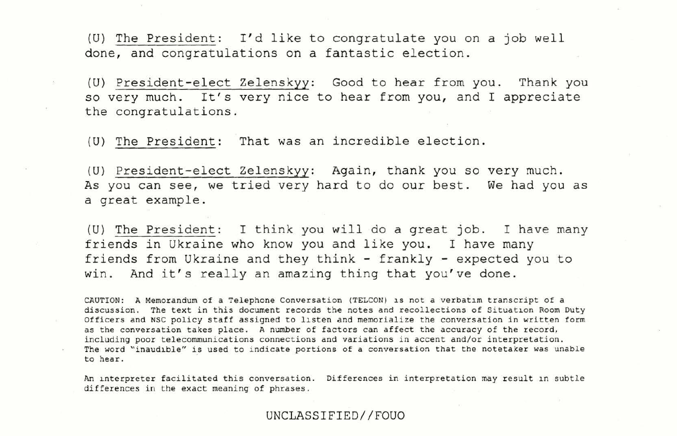(U) The President: I'd like to congratulate you on a job well done, and congratulations on a fantastic election.

(U) President-elect Zelenskyy: Good to hear from you. Thank you so very much. It's very nice to hear from you, and I appreciate the congratulations.

(U) President-elect Zelenskyy: Again, thank you so very much. As you can see, we tried very hard to do our best. We had you as a great example .

(U) The President: I think you will do a great job. I have many friends in Ukraine who know you and like you. I have many friends from Ukraine and they think - frankly - expected you to win. And it's really an amazing thing that you've done.

(U) The President: That was an incredible election .

An interpreter facilitated this conversation. Differences in interpretation may result in subtle differences in the exact meaning of phrases .

- CAUTION: A Memorandum of a Telephone Conversation (TELCON) is not a verbatim transcript of a discussion. The text in this document records the notes and recollections of Situation Room Duty Officers and NSC policy staff assigned to listen and memorialize the conversation in written form as the conversation takes place. A number of factors can affect the accuracy of the record, including poor telecommunications connections and variations in accent and/or interpretation. The word "inaudible" is used to indicate portions of a conversation that the notetaker was unable to hear.

UNCLASSIFIED//FOUO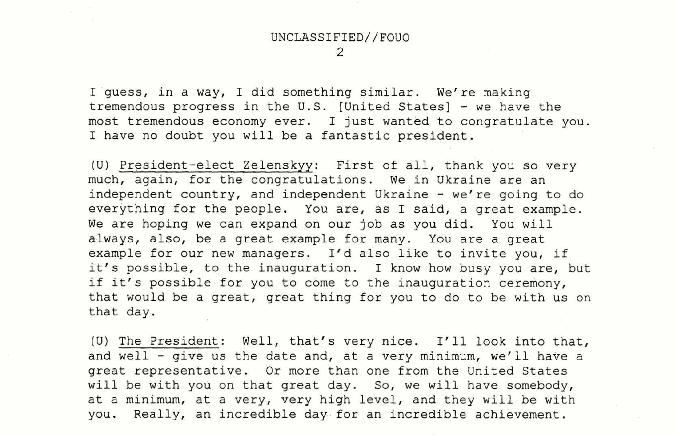# UNCLASSIFIED//FOUO

I guess, in a way, I did something similar. We're making tremendous progress in the U.S. [United States] - we .have the most tremendous economy ever. I just wanted to congratulate you. I have no doubt you will be a fantastic president.

(U) The President: Well, that's very nice. I'll look into that, and well - give us the date and, at a very minimum, we'll have a great representative. Or more than one from the United States will be with you on that great day. So, we will have somebody, at a minimum, at a very, very high level, and they will be with you. Really, an incredible day for an incredible achievement.

(U) President-elect Zelenskyy: First of all, thank you so very much, again, for the congratulations. We in Ukraine are an independent country, and independent Ukraine - we're going to do everything for the people. You are, as I said, a great example. We are hoping we can expand on our job as you did. You will a1ways, also, be a great example for many. You are a great example for our new managers. I'd also like to invite you, if it's possible, to the inauguration. I know how busy you are, but if it's possible for you to come to the inauguration ceremony, that would be a great, great thing for you to do to be with us on that day.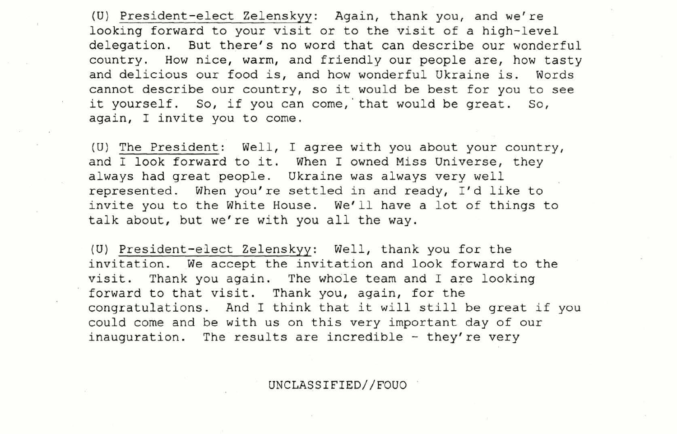(U) President-elect Zelenskyy: Again, thank you, and we're looking forward to your visit or to the visit of a high-level delegation. But there's no word that can describe our wonderful country. How nice, warm, and friendly our people are, how tasty and delicious our food is, and how wonderful Ukraine is. Words cannot describe our country, so it would be best for you to see it yourself. So, if you can come, that would be great. So, again, I invite you to come .

(U) The President: Well, I agree with you about your country, and I look forward to it. When I owned Miss Universe, they always had great people. Ukraine was always very well represented. When you're settled in and ready, I'd like to invite you to the White House. We'll have a lot of things to talk about, but we're with you all the way.

(U) President-elect Zelenskyy: Well, thank you for the invitation. We accept the invitation and look forward to the visit. Thank you again. The whole team and I are looking forward to that visit. Thank you, again, for the congratulations. And I think that it will still be great if you could come and be with us on this very important day of our inauguration. The results are incredible - they're very

UNCLASSIFIED//FOUO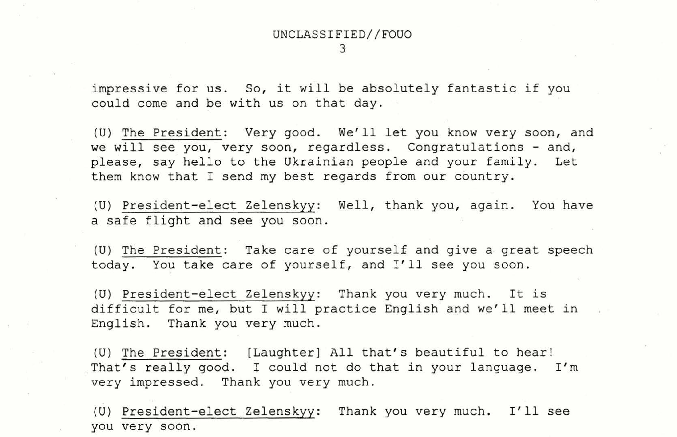### UNCLASSIFIED//FOUO 3

impressive for us. So, it will be absolutely fantastic if you could come and be with us on that day.

(U) The President: Very good. We'll let you know very soon, and we will see you, very soon, regardless. Congratulations - and, please, say hello to the Ukrainian people and your family. Let them know that I send my best regards from our country.

(U) President-elect Zelenskyy: Well, thank you, again. You have a safe flight and see you soon.

(U) President-elect Zelenskyy: Thank you very much. I'll see you very soon .

(U) The President: Take care of yourself and give a great speech today. You take care of yourself, and I'll see you soon.

(U) President-elect Zelenskyy: Thank you very much . It is difficult for me, but I will practice English and we'll meet in English. Thank you very much.

(U) The President: [Laughter] All that's beautiful to hear! That's really good. I could not do that in your language. I'm very impressed. Thank you very much.

.